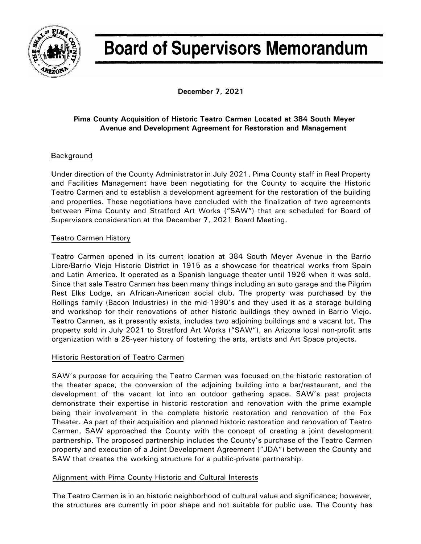

# **Board of Supervisors Memorandum**

**December 7, 2021** 

### **Pima County Acquisition of Historic Teatro Carmen Located at 384 South Meyer Avenue and Development Agreement for Restoration and Management**

## **Background**

Under direction of the County Administrator in July 2021, Pima County staff in Real Property and Facilities Management have been negotiating for the County to acquire the Historic Teatro Carmen and to establish a development agreement for the restoration of the building and properties. These negotiations have concluded with the finalization of two agreements between Pima County and Stratford Art Works ("SAW") that are scheduled for Board of Supervisors consideration at the December 7, 2021 Board Meeting.

### Teatro Carmen History

Teatro Carmen opened in its current location at 384 South Meyer Avenue in the Barrio Libre/Barrio Viejo Historic District in 1915 as a showcase for theatrical works from Spain and Latin America. It operated as a Spanish language theater until 1926 when it was sold. Since that sale Teatro Carmen has been many things including an auto garage and the Pilgrim Rest Elks Lodge, an African-American social club. The property was purchased by the Rollings family (Bacon Industries) in the mid-1990's and they used it as a storage building and workshop for their renovations of other historic buildings they owned in Barrio Viejo. Teatro Carmen, as it presently exists, includes two adjoining buildings and a vacant lot. The property sold in July 2021 to Stratford Art Works ("SAW"), an Arizona local non-profit arts organization with a 25-year history of fostering the arts, artists and Art Space projects.

### Historic Restoration of Teatro Carmen

SAW's purpose for acquiring the Teatro Carmen was focused on the historic restoration of the theater space, the conversion of the adjoining building into a bar/restaurant, and the development of the vacant lot into an outdoor gathering space. SAW's past projects demonstrate their expertise in historic restoration and renovation with the prime example being their involvement in the complete historic restoration and renovation of the Fox Theater. As part of their acquisition and planned historic restoration and renovation of Teatro Carmen, SAW approached the County with the concept of creating a joint development partnership. The proposed partnership includes the County's purchase of the Teatro Carmen property and execution of a Joint Development Agreement ("JDA") between the County and SAW that creates the working structure for a public-private partnership.

#### Alignment with Pima County Historic and Cultural Interests

The Teatro Carmen is in an historic neighborhood of cultural value and significance; however, the structures are currently in poor shape and not suitable for public use. The County has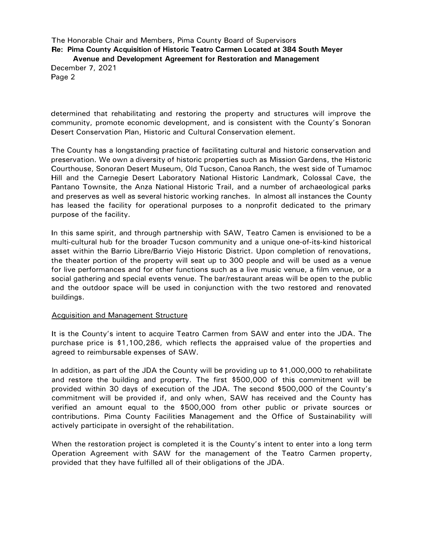The Honorable Chair and Members, Pima County Board of Supervisors **Re: Pima County Acquisition of Historic Teatro Carmen Located at 384 South Meyer Avenue and Development Agreement for Restoration and Management**  December 7, 2021 Page 2

determined that rehabilitating and restoring the property and structures will improve the community, promote economic development, and is consistent with the County's Sonoran Desert Conservation Plan, Historic and Cultural Conservation element.

The County has a longstanding practice of facilitating cultural and historic conservation and preservation. We own a diversity of historic properties such as Mission Gardens, the Historic Courthouse, Sonoran Desert Museum, Old Tucson, Canoa Ranch, the west side of Tumamoc Hill and the Carnegie Desert Laboratory National Historic Landmark, Colossal Cave, the Pantano Townsite, the Anza National Historic Trail, and a number of archaeological parks and preserves as well as several historic working ranches. In almost all instances the County has leased the facility for operational purposes to a nonprofit dedicated to the primary purpose of the facility.

In this same spirit, and through partnership with SAW, Teatro Camen is envisioned to be a multi-cultural hub for the broader Tucson community and a unique one-of-its-kind historical asset within the Barrio Libre/Barrio Viejo Historic District. Upon completion of renovations, the theater portion of the property will seat up to 300 people and will be used as a venue for live performances and for other functions such as a live music venue, a film venue, or a social gathering and special events venue. The bar/restaurant areas will be open to the public and the outdoor space will be used in conjunction with the two restored and renovated buildings.

#### Acquisition and Management Structure

It is the County's intent to acquire Teatro Carmen from SAW and enter into the JOA. The purchase price is \$1,100,286, which reflects the appraised value of the properties and agreed to reimbursable expenses of SAW.

In addition, as part of the JOA the County will be providing up to \$1,000,000 to rehabilitate and restore the building and property. The first \$500,000 of this commitment will be provided within 30 days of execution of the JOA. The second \$500,000 of the County's commitment will be provided if, and only when, SAW has received and the County has verified an amount equal to the \$500,000 from other public or private sources or contributions. Pima County Facilities Management and the Office of Sustainability will actively participate in oversight of the rehabilitation.

When the restoration project is completed it is the County's intent to enter into a long term Operation Agreement with SAW for the management of the Teatro Carmen property, provided that they have fulfilled all of their obligations of the JOA.